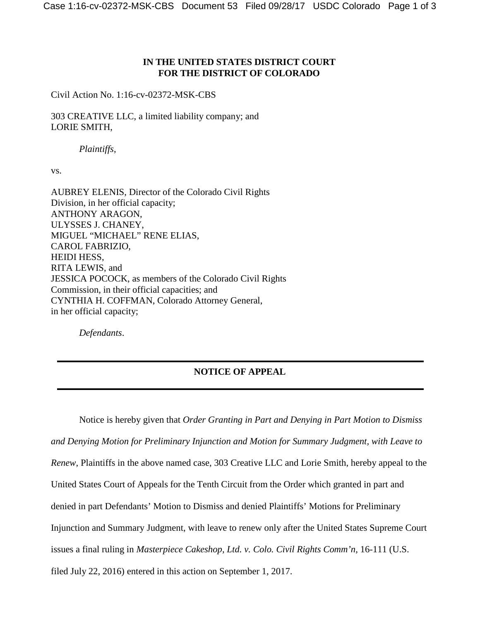## **IN THE UNITED STATES DISTRICT COURT FOR THE DISTRICT OF COLORADO**

Civil Action No. 1:16-cv-02372-MSK-CBS

303 CREATIVE LLC, a limited liability company; and LORIE SMITH,

*Plaintiffs*,

vs.

AUBREY ELENIS, Director of the Colorado Civil Rights Division, in her official capacity; ANTHONY ARAGON, ULYSSES J. CHANEY, MIGUEL "MICHAEL" RENE ELIAS, CAROL FABRIZIO, HEIDI HESS, RITA LEWIS, and JESSICA POCOCK, as members of the Colorado Civil Rights Commission, in their official capacities; and CYNTHIA H. COFFMAN, Colorado Attorney General, in her official capacity;

*Defendants*.

## **NOTICE OF APPEAL**

Notice is hereby given that *Order Granting in Part and Denying in Part Motion to Dismiss and Denying Motion for Preliminary Injunction and Motion for Summary Judgment, with Leave to Renew*, Plaintiffs in the above named case, 303 Creative LLC and Lorie Smith, hereby appeal to the United States Court of Appeals for the Tenth Circuit from the Order which granted in part and denied in part Defendants' Motion to Dismiss and denied Plaintiffs' Motions for Preliminary Injunction and Summary Judgment, with leave to renew only after the United States Supreme Court issues a final ruling in *Masterpiece Cakeshop, Ltd. v. Colo. Civil Rights Comm'n*, 16-111 (U.S. filed July 22, 2016) entered in this action on September 1, 2017.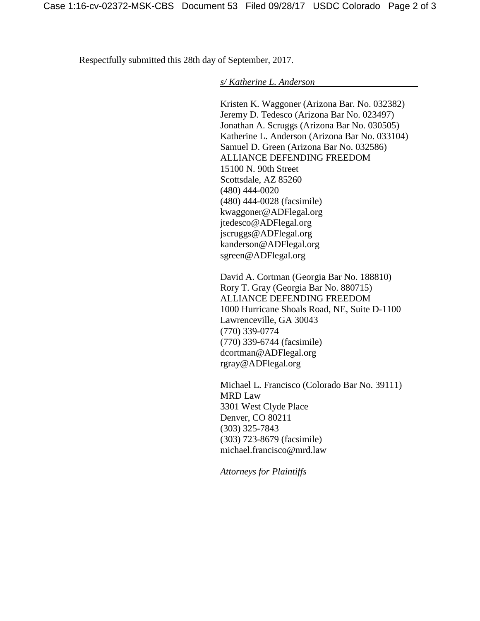Respectfully submitted this 28th day of September, 2017.

*s/ Katherine L. Anderson*

Kristen K. Waggoner (Arizona Bar. No. 032382) Jeremy D. Tedesco (Arizona Bar No. 023497) Jonathan A. Scruggs (Arizona Bar No. 030505) Katherine L. Anderson (Arizona Bar No. 033104) Samuel D. Green (Arizona Bar No. 032586) ALLIANCE DEFENDING FREEDOM 15100 N. 90th Street Scottsdale, AZ 85260 (480) 444-0020 (480) 444-0028 (facsimile) kwaggoner@ADFlegal.org jtedesco@ADFlegal.org jscruggs@ADFlegal.org kanderson@ADFlegal.org sgreen@ADFlegal.org

David A. Cortman (Georgia Bar No. 188810) Rory T. Gray (Georgia Bar No. 880715) ALLIANCE DEFENDING FREEDOM 1000 Hurricane Shoals Road, NE, Suite D-1100 Lawrenceville, GA 30043 (770) 339-0774 (770) 339-6744 (facsimile) dcortman@ADFlegal.org rgray@ADFlegal.org

Michael L. Francisco (Colorado Bar No. 39111) MRD Law 3301 West Clyde Place Denver, CO 80211 (303) 325-7843 (303) 723-8679 (facsimile) michael.francisco@mrd.law

*Attorneys for Plaintiffs*